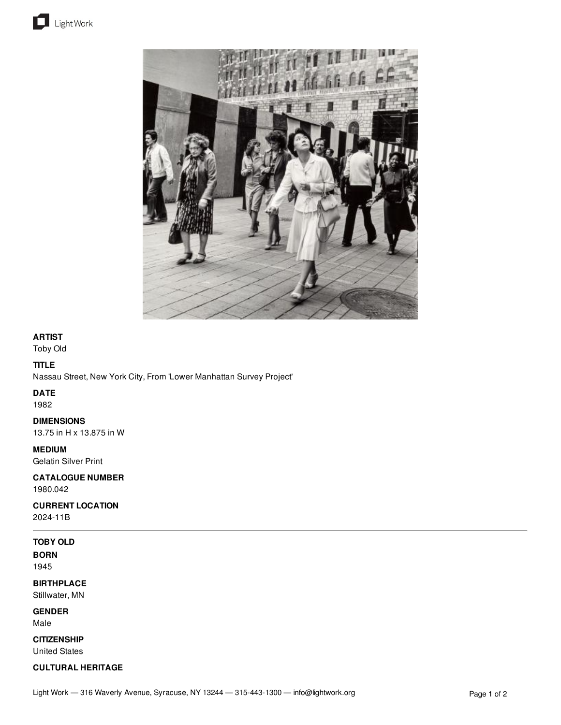



## **ARTIST**

Toby Old

# **TITLE**

Nassau Street, New York City, From 'Lower Manhattan Survey Project'

## **DATE**

1982

### **DIMENSIONS**

13.75 in H x 13.875 in W

# **MEDIUM**

Gelatin Silver Print

# **CATALOGUE NUMBER**

1980.042

## **CURRENT LOCATION**

2024-11B

# **TOBY OLD**

**BORN** 1945

# **BIRTHPLACE**

Stillwater, MN

### **GENDER**

Male

# **CITIZENSHIP**

United States

# **CULTURAL HERITAGE**